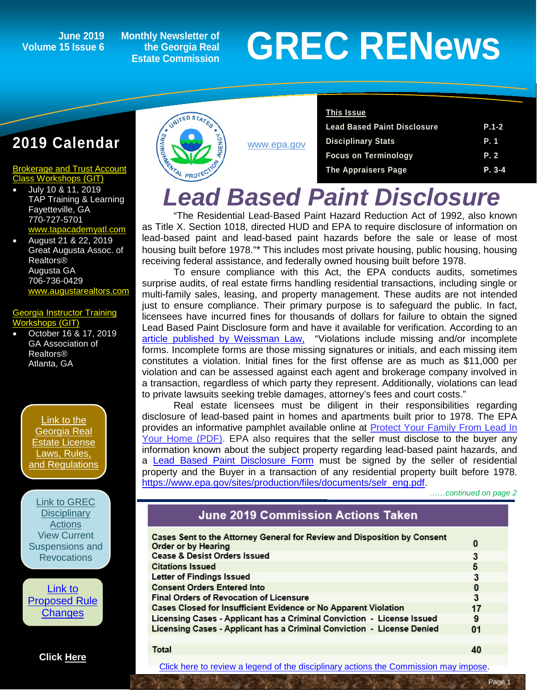### **Volume 15 Issue 6**

**Monthly Newsletter of the Georgia Real Estate Commission**

# **GREC RENEWS**<br> **GREC RENEWS**<br> **GREC RENEWS**

#### **2019 Calendar**

#### [Brokerage and Trust Account](http://www.grec-git.com/Instructor-Training/Current-GIT-Class-Sched)  [Class Workshops \(GIT\)](http://www.grec-git.com/Instructor-Training/Current-GIT-Class-Sched)

• July 10 & 11, 2019 TAP Training & Learning Fayetteville, GA 770-727-5701 v.tapacademyatl.com

• August 21 & 22, 2019 Great Augusta Assoc. of Realtors® Augusta GA 706-736-0429 [www.augustarealtors.com](http://www.augustarealtors.com/)

#### orgia Instructor Training rkshops (GIT)

• October 16 & 17, 2019 GA Association of Realtors® Atlanta, GA

> [Link to the](http://www.grec.state.ga.us/about/relaw.html)  [Georgia Real](http://www.grec.state.ga.us/about/relaw.html)  [Estate License](http://www.grec.state.ga.us/about/relaw.html)  [Laws, Rules,](http://www.grec.state.ga.us/about/relaw.html)  [and Regulations](http://www.grec.state.ga.us/about/relaw.html)

[Link to GREC](http://www.grec.state.ga.us/about/resanctions.html)  **Disciplinary** [Actions](http://www.grec.state.ga.us/about/resanctions.html) View Current [Suspensions and](http://www.grec.state.ga.us/about/resanctions.html)  **Revocations** 

[Link to](http://www.grec.state.ga.us/about/reproposed.html)  [Proposed Rule](http://www.grec.state.ga.us/about/reproposed.html)  **[Changes](http://www.grec.state.ga.us/about/reproposed.html)** 

**[Click Here](https://www.grec.state.ga.us/infobase/infobase.html)**

**Total** 



[www.epa.gov](http://www.epa.gov/)

| <b>This Issue</b>                  |            |
|------------------------------------|------------|
| <b>Lead Based Paint Disclosure</b> | $P.1 - 2$  |
| <b>Disciplinary Stats</b>          | <b>P.1</b> |
| <b>Focus on Terminology</b>        | P. 2       |
| <b>The Appraisers Page</b>         | $P. 3-4$   |
|                                    |            |

## *Lead Based Paint Disclosure*

"The Residential Lead-Based Paint Hazard Reduction Act of 1992, also known as Title X. Section 1018, directed HUD and EPA to require disclosure of information on lead-based paint and lead-based paint hazards before the sale or lease of most housing built before 1978."\* This includes most private housing, public housing, housing receiving federal assistance, and federally owned housing built before 1978.

To ensure compliance with this Act, the EPA conducts audits, sometimes surprise audits, of real estate firms handling residential transactions, including single or multi-family sales, leasing, and property management. These audits are not intended just to ensure compliance. Their primary purpose is to safeguard the public. In fact, licensees have incurred fines for thousands of dollars for failure to obtain the signed Lead Based Paint Disclosure form and have it available for verification. According to an article published by Weissman Law, "Violations include missing and/or incomplete "Violations include missing and/or incomplete forms. Incomplete forms are those missing signatures or initials, and each missing item constitutes a violation. Initial fines for the first offense are as much as \$11,000 per violation and can be assessed against each agent and brokerage company involved in a transaction, regardless of which party they represent. Additionally, violations can lead to private lawsuits seeking treble damages, attorney's fees and court costs."

Real estate licensees must be diligent in their responsibilities regarding disclosure of lead-based paint in homes and apartments built prior to 1978. The EPA provides an informative pamphlet available online at [Protect Your Family From Lead In](https://www.epa.gov/lead/protect-your-family-lead-your-home-real-estate-disclosure)  [Your Home \(PDF\).](https://www.epa.gov/lead/protect-your-family-lead-your-home-real-estate-disclosure) EPA also requires that the seller must disclose to the buyer any information known about the subject property regarding lead-based paint hazards, and a [Lead Based Paint Disclosure Form](https://www.epa.gov/lead/sellers-disclosure-information-lead-based-paint-andor-lead-based-paint-hazards) must be signed by the seller of residential property and the Buyer in a transaction of any residential property built before 1978. [https://www.epa.gov/sites/production/files/documents/selr\\_eng.pdf.](https://www.epa.gov/sites/production/files/documents/selr_eng.pdf)

 *……continued on page 2*

#### **June 2019 Commission Actions Taken**

| Cases Sent to the Attorney General for Review and Disposition by Consent<br>Order or by Hearing | 0  |
|-------------------------------------------------------------------------------------------------|----|
| <b>Cease &amp; Desist Orders Issued</b>                                                         | 3  |
| <b>Citations Issued</b>                                                                         | 5  |
| Letter of Findings Issued                                                                       | 3  |
| <b>Consent Orders Entered Into</b>                                                              | 0  |
| <b>Final Orders of Revocation of Licensure</b>                                                  |    |
| Cases Closed for Insufficient Evidence or No Apparent Violation                                 | 17 |
| Licensing Cases - Applicant has a Criminal Conviction - License Issued                          | 9  |
| Licensing Cases - Applicant has a Criminal Conviction - License Denied                          | 01 |
|                                                                                                 |    |

[Click here to review a legend of the disciplinary actions the Commission may impose.](https://www.jmre.com/grec/GRECDisciplinaryTools.pdf)

40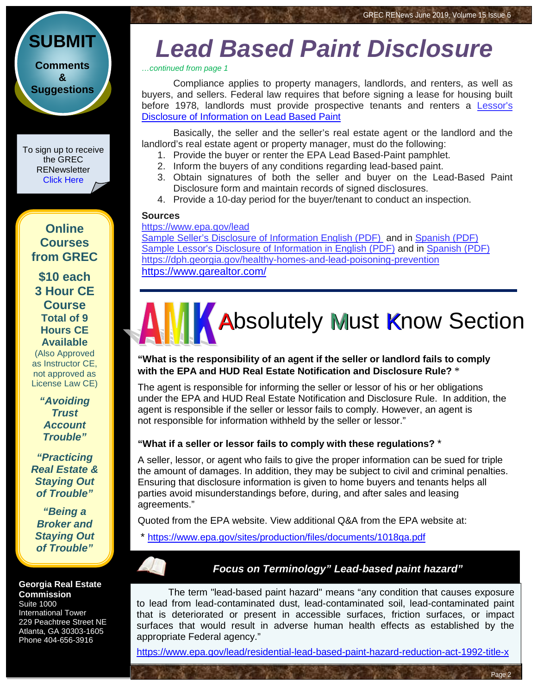**[Comments](http://www.jmre.com/grecrenewscomments2014.htm) [&](http://www.jmre.com/grecrenewscomments2014.htm) [Suggestions](http://www.jmre.com/grecrenewscomments2014.htm)**

**[SUBMIT](http://www.jmre.com/grecrenewscomments2014.htm)**

To sign up to receive the GREC **RENewsletter** [Click Here](https://www.grec.state.ga.us/about/subscribe.html)

**Online Courses from GREC**

**[\\$10 each](http://www.jmre.com/grec) [3 Hour CE](http://www.jmre.com/grec)  [Course](http://www.jmre.com/grec) [Total of 9](http://www.jmre.com/grec)  [Hours CE](http://www.jmre.com/grec)  [Available](http://www.jmre.com/grec)** [\(Also Approved](http://www.jmre.com/grec)  [as Instructor CE,](http://www.jmre.com/grec)  [not approved as](http://www.jmre.com/grec)  [License Law CE\)](http://www.jmre.com/grec)

> *["Avoiding](http://www.jmre.com/grec)  [Trust](http://www.jmre.com/grec)  [Account](http://www.jmre.com/grec)  [Trouble"](http://www.jmre.com/grec)*

*["Practicing](http://www.jmre.com/grec)  [Real Estate &](http://www.jmre.com/grec)  [Staying Out](http://www.jmre.com/grec)  [of Trouble"](http://www.jmre.com/grec)*

*["Being a](http://www.jmre.com/grec)  [Broker and](http://www.jmre.com/grec)  [Staying Out](http://www.jmre.com/grec)  [of Trouble"](http://www.jmre.com/grec)*

#### **Georgia Real Estate Commission**

Suite 1000 International Tower 229 Peachtree Street NE Atlanta, GA 30303-1605 Phone 404-656-3916

## *Lead Based Paint Disclosure*

*…continued from page 1*

Compliance applies to property managers, landlords, and renters, as well as buyers, and sellers. Federal law requires that before signing a lease for housing built before 1978, landlords must provide prospective tenants and renters a Lessor's [Disclosure of Information on Lead Based Paint](https://www.epa.gov/sites/production/files/documents/lesr_eng.pdf) 

Basically, the seller and the seller's real estate agent or the landlord and the landlord's real estate agent or property manager, must do the following:

- 1. Provide the buyer or renter the EPA Lead Based-Paint pamphlet.
- 2. Inform the buyers of any conditions regarding lead-based paint.
- 3. Obtain signatures of both the seller and buyer on the Lead-Based Paint Disclosure form and maintain records of signed disclosures.
- 4. Provide a 10-day period for the buyer/tenant to conduct an inspection.

#### **Sources**

#### <https://www.epa.gov/lead>

[Sample Seller's Disclosure of Information English \(PDF\)](https://www.epa.gov/lead/sellers-disclosure-information-lead-based-paint-andor-lead-based-paint-hazards) and in [Spanish](https://www.epa.gov/sites/production/files/2014-02/documents/doc_12344.pdf) (PDF) Sample [Lessor's Disclosure of Information in English \(PDF\)](https://www.epa.gov/lead/lessors-disclosure-information-lead-based-paint-andor-lead-based-paint-hazards) and in [Spanish \(PDF\)](https://www.epa.gov/lead/declaracion-de-informacion-sobre-pintura-base-de-plomo-yo-peligros-de-la-pintura-base-de-plomo) <https://dph.georgia.gov/healthy-homes-and-lead-poisoning-prevention> <https://www.garealtor.com/>

# **K** Absolutely Must Know Section

#### **"What is the responsibility of an agent if the seller or landlord fails to comply with the EPA and HUD Real Estate Notification and Disclosure Rule?** \*

The agent is responsible for informing the seller or lessor of his or her obligations under the EPA and HUD Real Estate Notification and Disclosure Rule. In addition, the agent is responsible if the seller or lessor fails to comply. However, an agent is not responsible for information withheld by the seller or lessor."

#### **"What if a seller or lessor fails to comply with these regulations?** \*

A seller, lessor, or agent who fails to give the proper information can be sued for triple the amount of damages. In addition, they may be subject to civil and criminal penalties. Ensuring that disclosure information is given to home buyers and tenants helps all parties avoid misunderstandings before, during, and after sales and leasing agreements."

Quoted from the EPA website. View additional Q&A from the EPA website at:

https://www.epa.gov/sites/production/files/documents/1018qa.pdf

#### *Focus on Terminology" Lead-based paint hazard"*

Page 2

The term "lead-based paint hazard" means "any condition that causes exposure to lead from lead-contaminated dust, lead-contaminated soil, lead-contaminated paint that is deteriorated or present in accessible surfaces, friction surfaces, or impact surfaces that would result in adverse human health effects as established by the appropriate Federal agency."

<https://www.epa.gov/lead/residential-lead-based-paint-hazard-reduction-act-1992-title-x>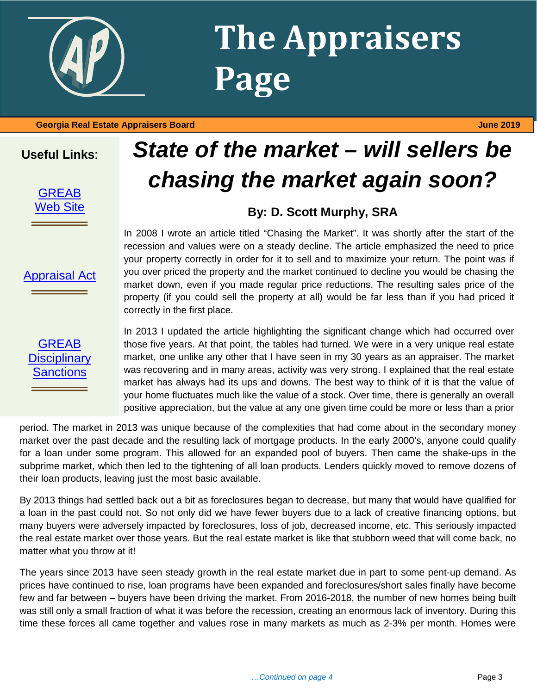

## **The Appraisers Page**

#### **Georgia Real Estate Appraisers Board June 2019**

#### **Useful Links**:



[Appraisal Act](http://www.grec.state.ga.us/about/appraisersact.html)

═════════════════<br>══════════════════

## *State of the market – will sellers be chasing the market again soon?*

#### **By: D. Scott Murphy, SRA**

In 2008 I wrote an article titled "Chasing the Market". It was shortly after the start of the recession and values were on a steady decline. The article emphasized the need to price your property correctly in order for it to sell and to maximize your return. The point was if you over priced the property and the market continued to decline you would be chasing the market down, even if you made regular price reductions. The resulting sales price of the property (if you could sell the property at all) would be far less than if you had priced it correctly in the first place.

#### **GREAB Disciplinary** [Sanctions](http://www.grec.state.ga.us/about/apprsanctions.html) ═════════════════<br>══════════════════

In 2013 I updated the article highlighting the significant change which had occurred over those five years. At that point, the tables had turned. We were in a very unique real estate market, one unlike any other that I have seen in my 30 years as an appraiser. The market was recovering and in many areas, activity was very strong. I explained that the real estate market has always had its ups and downs. The best way to think of it is that the value of your home fluctuates much like the value of a stock. Over time, there is generally an overall positive appreciation, but the value at any one given time could be more or less than a prior

period. The market in 2013 was unique because of the complexities that had come about in the secondary money market over the past decade and the resulting lack of mortgage products. In the early 2000's, anyone could qualify for a loan under some program. This allowed for an expanded pool of buyers. Then came the shake-ups in the subprime market, which then led to the tightening of all loan products. Lenders quickly moved to remove dozens of their loan products, leaving just the most basic available.

By 2013 things had settled back out a bit as foreclosures began to decrease, but many that would have qualified for a loan in the past could not. So not only did we have fewer buyers due to a lack of creative financing options, but many buyers were adversely impacted by foreclosures, loss of job, decreased income, etc. This seriously impacted the real estate market over those years. But the real estate market is like that stubborn weed that will come back, no matter what you throw at it!

The years since 2013 have seen steady growth in the real estate market due in part to some pent-up demand. As prices have continued to rise, loan programs have been expanded and foreclosures/short sales finally have become few and far between – buyers have been driving the market. From 2016-2018, the number of new homes being built was still only a small fraction of what it was before the recession, creating an enormous lack of inventory. During this time these forces all came together and values rose in many markets as much as 2-3% per month. Homes were